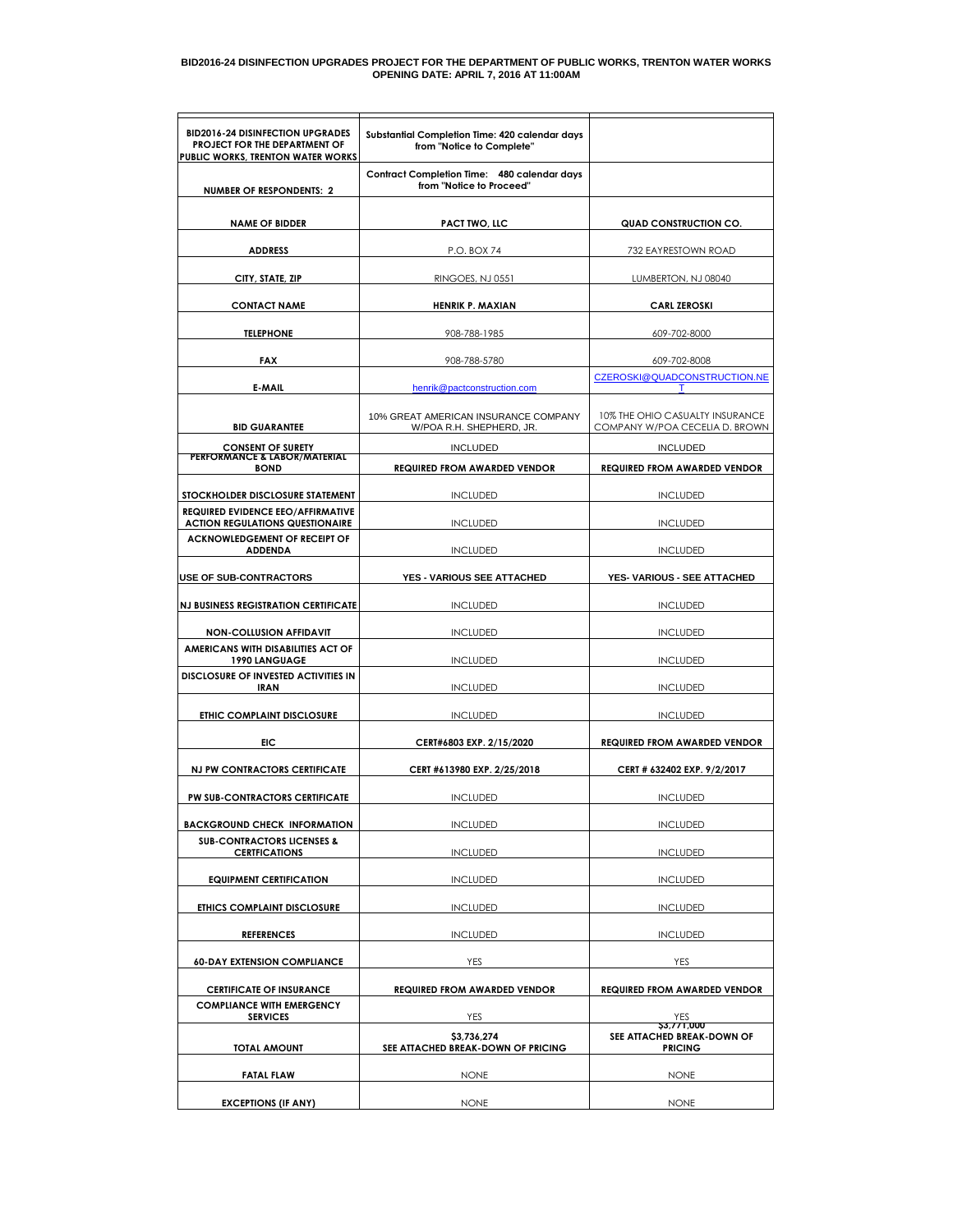## **BID2016-24 DISINFECTION UPGRADES PROJECT FOR THE DEPARTMENT OF PUBLIC WORKS, TRENTON WATER WORKS OPENING DATE: APRIL 7, 2016 AT 11:00AM**

| <b>BID2016-24 DISINFECTION UPGRADES</b><br>PROJECT FOR THE DEPARTMENT OF<br><b>PUBLIC WORKS, TRENTON WATER WORKS</b> | Substantial Completion Time: 420 calendar days<br>from "Notice to Complete" |                                                                   |  |
|----------------------------------------------------------------------------------------------------------------------|-----------------------------------------------------------------------------|-------------------------------------------------------------------|--|
| <b>NUMBER OF RESPONDENTS: 2</b>                                                                                      | Contract Completion Time: 480 calendar days<br>from "Notice to Proceed"     |                                                                   |  |
| <b>NAME OF BIDDER</b>                                                                                                | <b>PACT TWO, LLC</b>                                                        | <b>QUAD CONSTRUCTION CO.</b>                                      |  |
|                                                                                                                      |                                                                             |                                                                   |  |
| <b>ADDRESS</b>                                                                                                       | P.O. BOX 74                                                                 | 732 EAYRESTOWN ROAD                                               |  |
| CITY, STATE, ZIP                                                                                                     | RINGOES, NJ 0551                                                            | LUMBERTON, NJ 08040                                               |  |
| <b>CONTACT NAME</b>                                                                                                  | <b>HENRIK P. MAXIAN</b>                                                     | <b>CARL ZEROSKI</b>                                               |  |
| <b>TELEPHONE</b>                                                                                                     | 908-788-1985                                                                | 609-702-8000                                                      |  |
| <b>FAX</b>                                                                                                           | 908-788-5780                                                                | 609-702-8008                                                      |  |
| E-MAIL                                                                                                               | henrik@pactconstruction.com                                                 | CZEROSKI@QUADCONSTRUCTION.NE<br>T.                                |  |
| <b>BID GUARANTEE</b>                                                                                                 | 10% GREAT AMERICAN INSURANCE COMPANY<br>W/POA R.H. SHEPHERD, JR.            | 10% THE OHIO CASUALTY INSURANCE<br>COMPANY W/POA CECELIA D. BROWN |  |
| <b>CONSENT OF SURETY</b><br>PERFORMANCE & LABOR/MATERIAL                                                             | <b>INCLUDED</b>                                                             | <b>INCLUDED</b>                                                   |  |
| <b>BOND</b>                                                                                                          | <b>REQUIRED FROM AWARDED VENDOR</b>                                         | <b>REQUIRED FROM AWARDED VENDOR</b>                               |  |
| STOCKHOLDER DISCLOSURE STATEMENT                                                                                     | <b>INCLUDED</b>                                                             | <b>INCLUDED</b>                                                   |  |
| <b>REQUIRED EVIDENCE EEO/AFFIRMATIVE</b><br><b>ACTION REGULATIONS QUESTIONAIRE</b>                                   | <b>INCLUDED</b>                                                             | <b>INCLUDED</b>                                                   |  |
| <b>ACKNOWLEDGEMENT OF RECEIPT OF</b><br><b>ADDENDA</b>                                                               | <b>INCLUDED</b>                                                             | <b>INCLUDED</b>                                                   |  |
| <b>USE OF SUB-CONTRACTORS</b>                                                                                        | YES - VARIOUS SEE ATTACHED                                                  | YES-VARIOUS - SEE ATTACHED                                        |  |
| <b>NJ BUSINESS REGISTRATION CERTIFICATE</b>                                                                          | <b>INCLUDED</b>                                                             | <b>INCLUDED</b>                                                   |  |
| <b>NON-COLLUSION AFFIDAVIT</b>                                                                                       | <b>INCLUDED</b>                                                             | <b>INCLUDED</b>                                                   |  |
| AMERICANS WITH DISABILITIES ACT OF<br><b>1990 LANGUAGE</b>                                                           | <b>INCLUDED</b>                                                             | <b>INCLUDED</b><br><b>INCLUDED</b>                                |  |
| DISCLOSURE OF INVESTED ACTIVITIES IN<br>IRAN                                                                         | <b>INCLUDED</b>                                                             |                                                                   |  |
| <b>ETHIC COMPLAINT DISCLOSURE</b>                                                                                    | <b>INCLUDED</b>                                                             | <b>INCLUDED</b>                                                   |  |
|                                                                                                                      |                                                                             |                                                                   |  |
| ЕIС                                                                                                                  | CERT#6803 EXP. 2/15/2020                                                    | <b>REQUIRED FROM AWARDED VENDOR</b>                               |  |
| NJ PW CONTRACTORS CERTIFICATE                                                                                        | CERT #613980 EXP. 2/25/2018                                                 | CERT # 632402 EXP. 9/2/2017                                       |  |
| <b>PW SUB-CONTRACTORS CERTIFICATE</b>                                                                                | <b>INCLUDED</b>                                                             | <b>INCLUDED</b>                                                   |  |
| <b>BACKGROUND CHECK INFORMATION</b>                                                                                  | <b>INCLUDED</b>                                                             | <b>INCLUDED</b>                                                   |  |
| <b>SUB-CONTRACTORS LICENSES &amp;</b><br><b>CERTFICATIONS</b>                                                        | <b>INCLUDED</b>                                                             | <b>INCLUDED</b>                                                   |  |
| <b>EQUIPMENT CERTIFICATION</b>                                                                                       | <b>INCLUDED</b>                                                             | <b>INCLUDED</b>                                                   |  |
| <b>ETHICS COMPLAINT DISCLOSURE</b>                                                                                   | <b>INCLUDED</b>                                                             | <b>INCLUDED</b>                                                   |  |
| <b>REFERENCES</b>                                                                                                    | <b>INCLUDED</b>                                                             | <b>INCLUDED</b>                                                   |  |
| <b>60-DAY EXTENSION COMPLIANCE</b>                                                                                   | <b>YES</b>                                                                  | <b>YES</b>                                                        |  |
| <b>CERTIFICATE OF INSURANCE</b>                                                                                      | <b>REQUIRED FROM AWARDED VENDOR</b>                                         | <b>REQUIRED FROM AWARDED VENDOR</b>                               |  |
| <b>COMPLIANCE WITH EMERGENCY</b><br><b>SERVICES</b>                                                                  | YES                                                                         | YES                                                               |  |
|                                                                                                                      | \$3,736,274                                                                 | 53,771,000<br>SEE ATTACHED BREAK-DOWN OF                          |  |
| TOTAL AMOUNT                                                                                                         | SEE ATTACHED BREAK-DOWN OF PRICING                                          | <b>PRICING</b>                                                    |  |
| <b>FATAL FLAW</b>                                                                                                    | <b>NONE</b>                                                                 | <b>NONE</b>                                                       |  |
| <b>EXCEPTIONS (IF ANY)</b>                                                                                           | <b>NONE</b>                                                                 | <b>NONE</b>                                                       |  |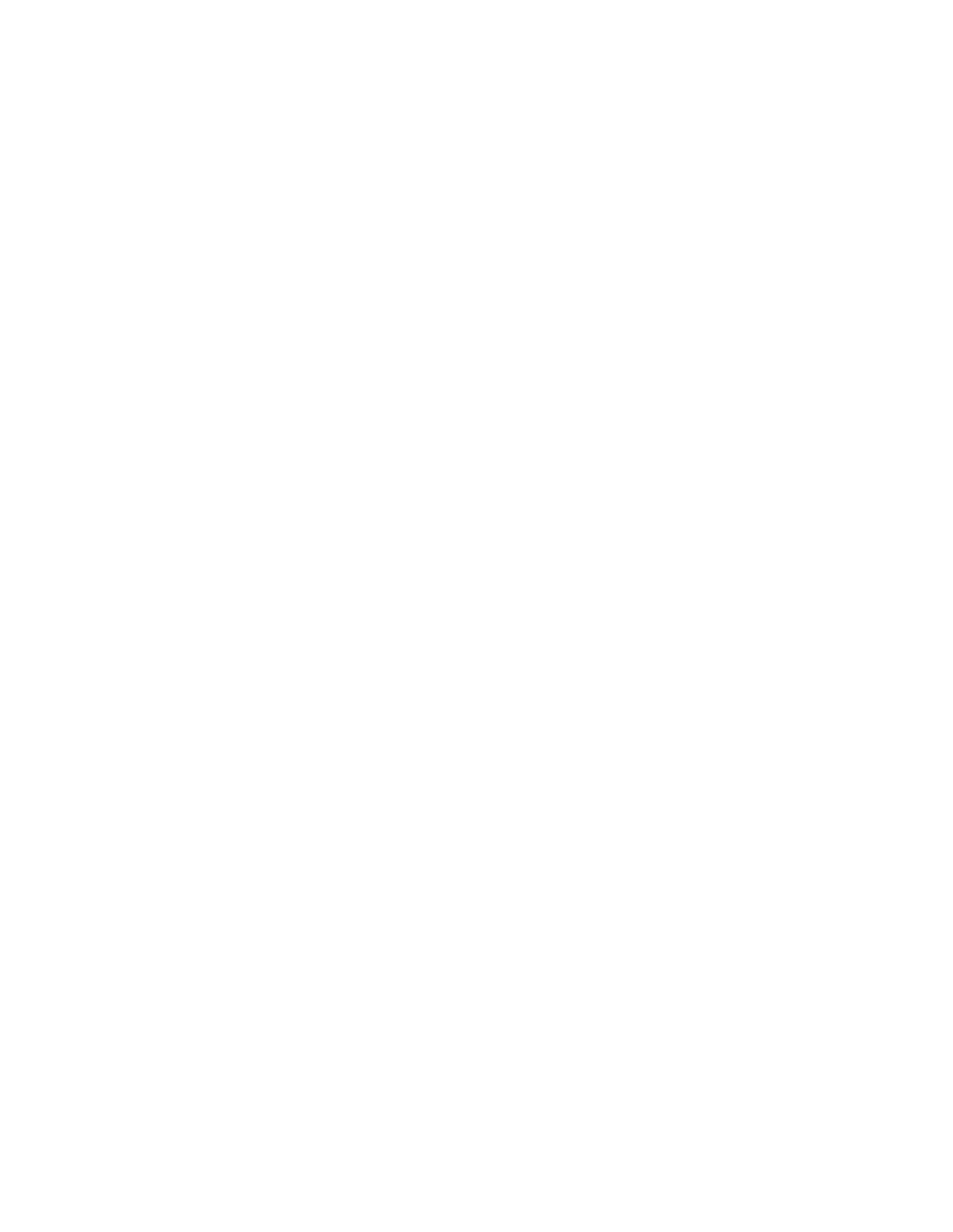## BID2016-24 DISINFECTION UPGRADES PROJECT FOR THE DEPARTMENT OF PUBLIC WORKS, TRENTON WATER WORKS<br>OPENING DATE: APRIL 7, 2016 AT 11:00AM

| BID2016-24 DISINFECTION UPGRADES<br>PROJECT FOR THE DEPARTMENT OF<br>PUBLIC WORKS, TRENTON WATER WO | Substantial Completion Time: 420 calendar days<br>from "Notice to Complete" |                                                                   |
|-----------------------------------------------------------------------------------------------------|-----------------------------------------------------------------------------|-------------------------------------------------------------------|
| NUMBER OF RESPONDENTS: 2                                                                            | Contract Completion Time: 480 calendar days<br>from "Notice to Proceed"     |                                                                   |
| NAME OF BIDDER                                                                                      | PACT TWO, LLC                                                               | QUAD CONSTRUCTION CO.                                             |
| <b>ADDRESS</b>                                                                                      | P.O. BOX 74                                                                 | 732 EAYRESTOWN ROAD                                               |
| CITY, STATE, ZIP                                                                                    | RINGOES, NJ 0551                                                            | LUMBERTON, NJ 08040                                               |
| <b>CONTACT NAME</b>                                                                                 | <b>HENRIK P. MAXIAN</b>                                                     | <b>CARL ZEROSKI</b>                                               |
| <b>TELEPHONE</b>                                                                                    | 908-788-1985                                                                | 609-702-8000                                                      |
| FAX                                                                                                 | 908-788-5780                                                                | 609-702-8008                                                      |
| E-MAIL                                                                                              | henrik@pactconstruction.com                                                 | CZEROSKI@QUADCONSTRUCTION.NE<br>т.                                |
| <b>BID GUARANTEE</b>                                                                                | 10% GREAT AMERICAN INSURANCE COMPANY<br>W/POA R.H. SHEPHERD, JR.            | 10% THE OHIO CASUALTY INSURANCE<br>COMPANY W/POA CECELIA D. BROWN |
| CONSENT OF SURETY<br>PERFORMANCE & LABOR/MATERIAL                                                   | <b>INCLUDED</b>                                                             | <b>INCLUDED</b>                                                   |
| <b>BOND</b>                                                                                         | REQUIRED FROM AWARDED VENDOR                                                | REQUIRED FROM AWARDED VENDOR                                      |
| STOCKHOLDER DISCLOSURE STATEMENT                                                                    | <b>INCLUDED</b>                                                             | <b>INCLUDED</b>                                                   |
| REQUIRED EVIDENCE EEO/AFFIRMATIV<br><b>ACTION REGULATIONS QUESTIONAIRI</b>                          | <b>INCLUDED</b>                                                             | <b>INCLUDED</b>                                                   |
| ACKNOWLEDGEMENT OF RECEIPT OF<br><b>ADDENDA</b>                                                     | <b>INCLUDED</b>                                                             | <b>INCLUDED</b>                                                   |
| USE OF SUB-CONTRACTORS                                                                              | YES - VARIOUS SEE ATTACHED                                                  | YES-VARIOUS - SEE ATTACHED                                        |
| NJ BUSINESS REGISTRATION CERTIFICATE                                                                | <b>INCLUDED</b>                                                             | <b>INCLUDED</b>                                                   |
| NON-COLLUSION AFFIDAVIT                                                                             | <b>INCLUDED</b>                                                             | <b>INCLUDED</b>                                                   |
| AMERICANS WITH DISABILITIES ACT O<br>1990 LANGUAGE                                                  | <b>INCLUDED</b>                                                             | <b>INCLUDED</b>                                                   |
| DISCLOSURE OF INVESTED ACTIVITIES<br><b>IRAN</b>                                                    | <b>INCLUDED</b>                                                             | <b>INCLUDED</b>                                                   |
| ETHIC COMPLAINT DISCLOSURE                                                                          | <b>INCLUDED</b>                                                             | <b>INCLUDED</b>                                                   |
| EIC                                                                                                 | CERT#6803 EXP. 2/15/2020                                                    | REQUIRED FROM AWARDED VENDOR                                      |
| NJ PW CONTRACTORS CERTIFICATE                                                                       | CERT #613980 EXP. 2/25/2018                                                 | CERT # 632402 EXP. 9/2/2017                                       |
| PW SUB-CONTRACTORS CERTIFICATE                                                                      | <b>INCLUDED</b>                                                             | <b>INCLUDED</b>                                                   |
| BACKGROUND CHECK INFORMATION                                                                        | <b>INCLUDED</b>                                                             | <b>INCLUDED</b>                                                   |
| <b>SUB-CONTRACTORS LICENSES &amp;</b><br><b>CERTFICATIONS</b>                                       | <b>INCLUDED</b>                                                             | <b>INCLUDED</b>                                                   |
| EQUIPMENT CERTIFICATION                                                                             | <b>INCLUDED</b>                                                             | <b>INCLUDED</b>                                                   |
| ETHICS COMPLAINT DISCLOSURE                                                                         | <b>INCLUDED</b>                                                             | <b>INCLUDED</b>                                                   |
| REFERENCES                                                                                          | <b>INCLUDED</b>                                                             | <b>INCLUDED</b>                                                   |
| 60-DAY EXTENSION COMPLIANCE                                                                         | <b>YES</b>                                                                  | <b>YES</b>                                                        |
| CERTIFICATE OF INSURANCE                                                                            | REQUIRED FROM AWARDED VENDOR                                                | REQUIRED FROM AWARDED VENDOR                                      |
| <b>COMPLIANCE WITH EMERGENCY</b><br><b>SERVICES</b>                                                 | <b>YES</b>                                                                  | <b>YES</b><br>\$3,771,000                                         |
| TOTAL AMOUNT                                                                                        | \$3,736,274<br>SEE ATTACHED BREAK-DOWN OF PRICING                           | SEE ATTACHED BREAK-DOWN OF<br><b>PRICING</b>                      |
| <b>FATAL FLAW</b>                                                                                   | <b>NONE</b>                                                                 | <b>NONE</b>                                                       |
| <b>EXCEPTIONS (IF ANY)</b>                                                                          | <b>NONE</b>                                                                 | <b>NONE</b>                                                       |
|                                                                                                     |                                                                             |                                                                   |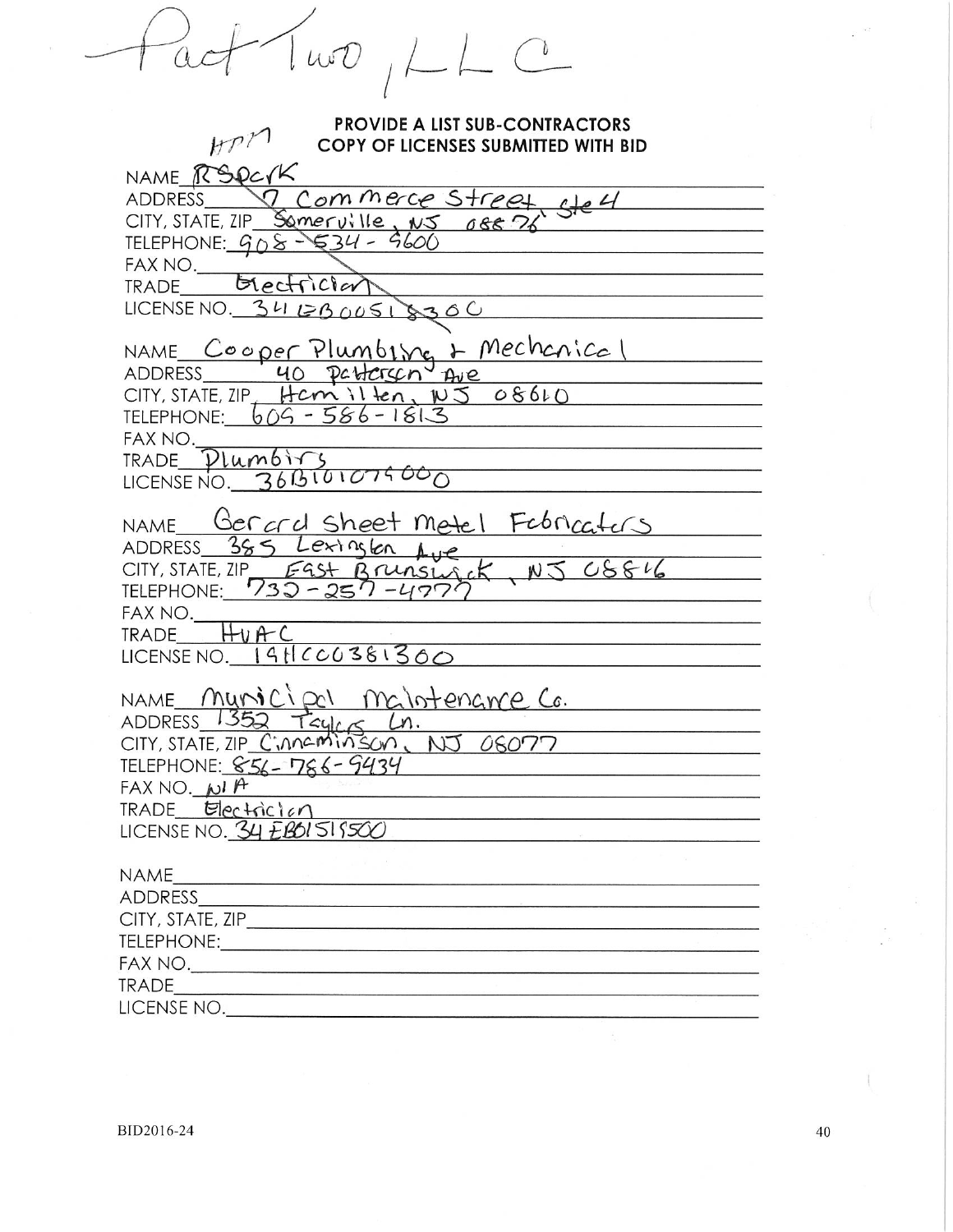$1000$ **PROVIDE A LIST SUB-CONTRACTORS** COPY OF LICENSES SUBMITTED WITH BID NAME RSPCPK Commerce Street **ADDRESS**  $\pm 4$ CITY, STATE, ZIP Somerville,  $\overline{MS}$  088 76<br>TELEPHONE:  $908 - 534 - 9600$ FAX NO. blectricler **TRADE** LICENSENO.  $341290051$  $830C$ NAME Cooper Plumbine & Mechanical ADDRESS 40 Destergen Ave CITY, STATE, IIP, Hcm il ten,  $W506660$ TELEPHONE:  $606 - 586 - 1813$ FAX NO.<br>TRADE Plumbirs LICENSENO. 36B101074000 NAME Gerard sheet metel Februariers ADDRESS 385 Lexington Live  $CITY$ , STATE, ZIP  $FAS+$ Brunsinct TELEPHONE: 732-257-477 FAX NO. HUAC **TRADE** LICENSE NO.  $191100381300$ NAME MUnicial maintename Co. ADDRESS  $1352$  Taylog Ln. CITY, STATE, ZIP CINNAMINSON. NJ 06077 TELEPHONE: 856-786-9434 FAX NO.  $M$ <sup>H</sup> TRADE Blectrician LICENSE NO. 34 EBOISISSO **NAME** ADDRESS CITY, STATE, ZIP TELEPHONE: And the contract of the contract of the contract of the contract of the contract of the contract of the contract of the contract of the contract of the contract of the contract of the contract of the contract of FAX NO. TRADE LICENSE NO.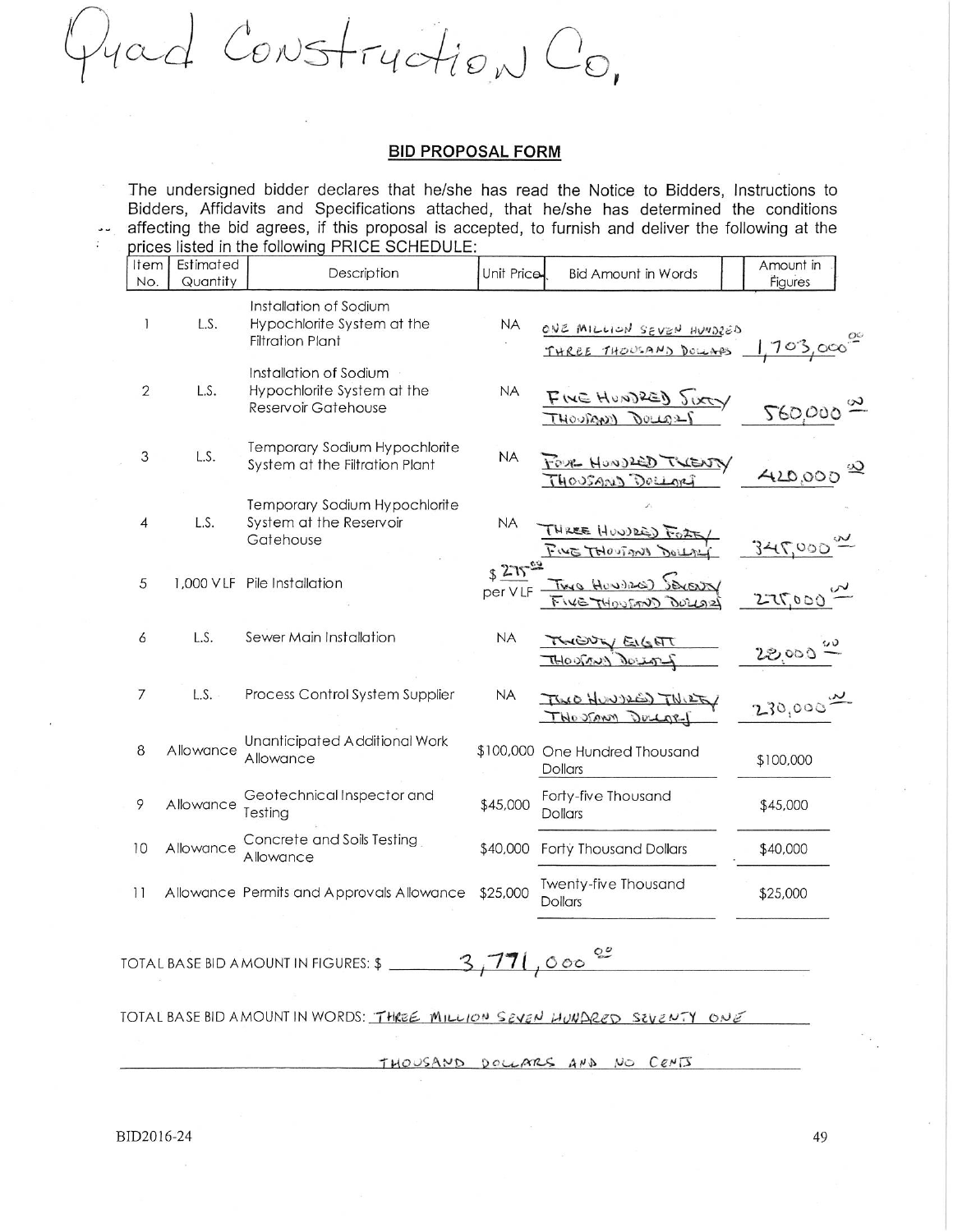frad Construction Co.

## **BID PROPOSAL FORM**

The undersigned bidder declares that he/she has read the Notice to Bidders, Instructions to Bidders, Affidavits and Specifications attached, that he/she has determined the conditions affecting the bid agrees, if this proposal is accepted, to furnish and deliver the following at the  $\bullet$ prices listed in the following PRICE SCHEDULE:

| Item<br>No.                                                             | Estimated<br>Quantity | Description                                                                     | Unit Price                        | <b>Bid Amount in Words</b>                          | Amount in<br>Figures |
|-------------------------------------------------------------------------|-----------------------|---------------------------------------------------------------------------------|-----------------------------------|-----------------------------------------------------|----------------------|
| 1                                                                       | L.S.                  | Installation of Sodium<br>Hypochlorite System at the<br><b>Filtration Plant</b> | <b>NA</b>                         | ONE MILLION SEVEN HUNDEED<br>THREE THOUSAND DOLLAPS | 1,703,000            |
| $\overline{2}$                                                          | L.S.                  | Installation of Sodium<br>Hypochlorite System at the<br>Reservoir Gatehouse     | <b>NA</b>                         | FINE HUNDRED SIXTY<br>THOUSAND DOLLER               | 560,000              |
| 3                                                                       | L.S.                  | Temporary Sodium Hypochlorite<br>System at the Filtration Plant                 | NA.                               | FOUR HONDRED TUENTY<br>THOUSAND DOLLOPS             | 420,000              |
| 4                                                                       | L.S.                  | Temporary Sodium Hypochlorite<br>System at the Reservoir<br>Gatehouse           | <b>NA</b>                         | THREE HUWDED FORE<br>FIVE THOUTANT &                | 34500                |
| 5                                                                       |                       | 1,000 VLF Pile Installation                                                     | $$275^{\frac{69}{2}}$<br>per V LF | Two Housing<br>LOG CRAZUOHT EN 7                    | 275000               |
| 6                                                                       | L.S.                  | Sewer Main Installation                                                         | <b>NA</b>                         | TWOUN EIGHT<br>THOUSAND DOLLAR                      | 22,000               |
| 7                                                                       | L.S.                  | Process Control System Supplier                                                 | <b>NA</b>                         | TWO HUNDED THIEF<br>THE STARM DULARI                | 230,000              |
| 8                                                                       | Allowance             | Unanticipated Additional Work<br>Allowance                                      |                                   | \$100,000 One Hundred Thousand<br><b>Dollars</b>    | \$100,000            |
| 9                                                                       | Allowance             | Geotechnical Inspector and<br>Testing                                           | \$45,000                          | Forty-five Thousand<br><b>Dollars</b>               | \$45,000             |
| 10                                                                      | Allowance             | Concrete and Soils Testing<br>Allowance                                         |                                   | \$40,000 Forty Thousand Dollars                     | \$40,000             |
| 11                                                                      |                       | Allowance Permits and Approvals Allowance                                       | \$25,000                          | Twenty-five Thousand<br><b>Dollars</b>              | \$25,000             |
| 3,771,000<br>TOTAL BASE BID A MOUNT IN FIGURES: \$                      |                       |                                                                                 |                                   |                                                     |                      |
| TOTAL BASE BID AMOUNT IN WORDS: THREE MILLION SEVEN HUNDRED SEVENTY ONE |                       |                                                                                 |                                   |                                                     |                      |

THOUSAND DOLLARS AND NO CENTS

 $\mathcal{C}$